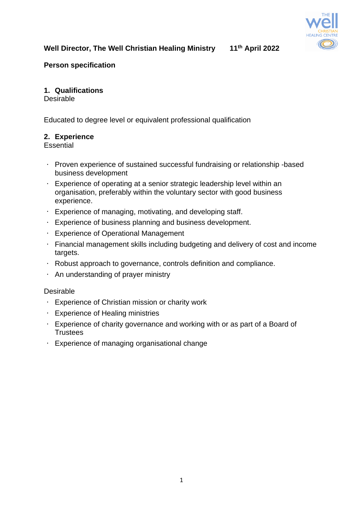

# **Well Director, The Well Christian Healing Ministry 11th April 2022**

## **Person specification**

## **1. Qualifications**

Desirable

Educated to degree level or equivalent professional qualification

#### **2. Experience**

**Essential** 

- Proven experience of sustained successful fundraising or relationship -based business development
- $\bullet$  . Experience of operating at a senior strategic leadership level within an organisation, preferably within the voluntary sector with good business experience.
- Experience of managing, motivating, and developing staff.
- Experience of business planning and business development.
- Experience of Operational Management
- Financial management skills including budgeting and delivery of cost and income targets.
- Robust approach to governance, controls definition and compliance.
- An understanding of prayer ministry

Desirable

- Experience of Christian mission or charity work
- Experience of Healing ministries
- Experience of charity governance and working with or as part of a Board of **Trustees**
- Experience of managing organisational change